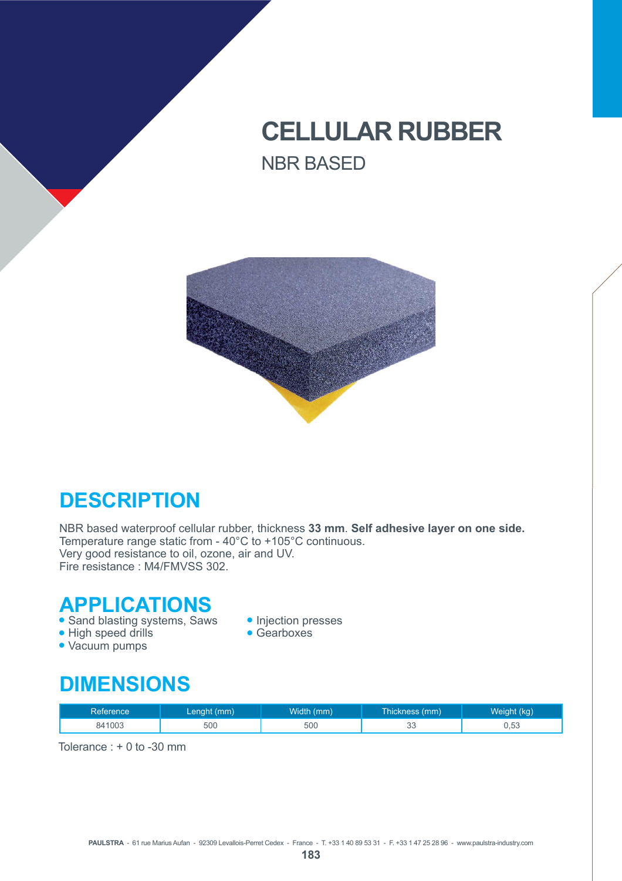# **CELLULAR RUBBER** NBR BASED



## **DESCRIPTION**

NBR based waterproof cellular rubber, thickness **33 mm**. **Self adhesive layer on one side.** Temperature range static from - 40°C to +105°C continuous. Very good resistance to oil, ozone, air and UV. Fire resistance : M4/FMVSS 302.

#### **APPLICATIONS**

• Sand blasting systems, Saws • Injection presses<br>• High speed drills • Gearboxes

- $\bullet$  High speed drills
- Vacuum pumps
- 
- 

#### **DIMENSIONS**

| Reference | Lenght (mm) | Width (mm) | Thickness (mm) | Weight (kg) |
|-----------|-------------|------------|----------------|-------------|
| 841003    | 500         | 500        | $\sim$<br>ںں   | 0.53        |

Tolerance : + 0 to -30 mm